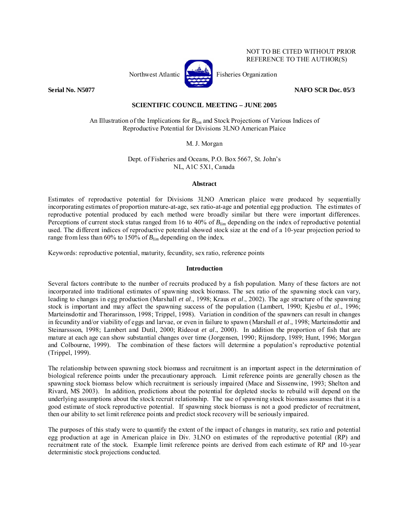

NOT TO BE CITED WITHOUT PRIOR REFERENCE TO THE AUTHOR(S)

# **Serial No. N5077 NAFO SCR Doc. 05/3**

# **SCIENTIFIC COUNCIL MEETING – JUNE 2005**

An Illustration of the Implications for *Blim* and Stock Projections of Various Indices of Reproductive Potential for Divisions 3LNO American Plaice

M. J. Morgan

Dept. of Fisheries and Oceans, P.O. Box 5667, St. John's NL, A1C 5X1, Canada

## **Abstract**

Estimates of reproductive potential for Divisions 3LNO American plaice were produced by sequentially incorporating estimates of proportion mature-at-age, sex ratio-at-age and potential egg production. The estimates of reproductive potential produced by each method were broadly similar but there were important differences. Perceptions of current stock status ranged from 16 to 40% of *Blim* depending on the index of reproductive potential used. The different indices of reproductive potential showed stock size at the end of a 10-year projection period to range from less than 60% to 150% of *Blim* depending on the index.

Keywords: reproductive potential, maturity, fecundity, sex ratio, reference points

# **Introduction**

Several factors contribute to the number of recruits produced by a fish population. Many of these factors are not incorporated into traditional estimates of spawning stock biomass. The sex ratio of the spawning stock can vary, leading to changes in egg production (Marshall *et al*., 1998; Kraus *et al*., 2002). The age structure of the spawning stock is important and may affect the spawning success of the population (Lambert, 1990; Kjesbu *et al*., 1996; Marteinsdottir and Thorarinsson, 1998; Trippel, 1998). Variation in condition of the spawners can result in changes in fecundity and/or viability of eggs and larvae, or even in failure to spawn (Marshall *et al*., 1998; Marteinsdottir and Steinarssson, 1998; Lambert and Dutil, 2000; Rideout *et al*., 2000). In addition the proportion of fish that are mature at each age can show substantial changes over time (Jorgensen, 1990; Rijnsdorp, 1989; Hunt, 1996; Morgan and Colbourne, 1999). The combination of these factors will determine a population's reproductive potential (Trippel, 1999).

The relationship between spawning stock biomass and recruitment is an important aspect in the determination of biological reference points under the precautionary approach. Limit reference points are generally chosen as the spawning stock biomass below which recruitment is seriously impaired (Mace and Sissenwine, 1993; Shelton and Rivard, MS 2003). In addition, predictions about the potential for depleted stocks to rebuild will depend on the underlying assumptions about the stock recruit relationship. The use of spawning stock biomass assumes that it is a good estimate of stock reproductive potential. If spawning stock biomass is not a good predictor of recruitment, then our ability to set limit reference points and predict stock recovery will be seriously impaired.

The purposes of this study were to quantify the extent of the impact of changes in maturity, sex ratio and potential egg production at age in American plaice in Div. 3LNO on estimates of the reproductive potential (RP) and recruitment rate of the stock. Example limit reference points are derived from each estimate of RP and 10-year deterministic stock projections conducted.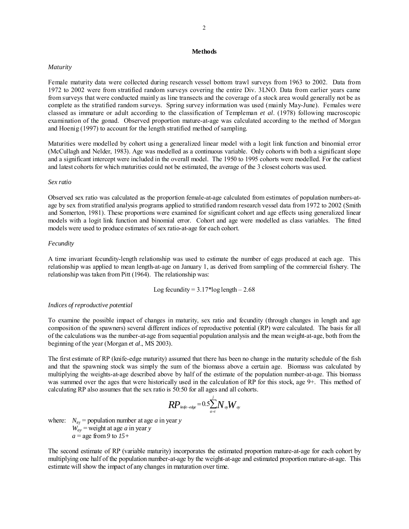## **Methods**

## *Maturity*

Female maturity data were collected during research vessel bottom trawl surveys from 1963 to 2002. Data from 1972 to 2002 were from stratified random surveys covering the entire Div. 3LNO. Data from earlier years came from surveys that were conducted mainly as line transects and the coverage of a stock area would generally not be as complete as the stratified random surveys. Spring survey information was used (mainly May-June). Females were classed as immature or adult according to the classification of Templeman *et al*. (1978) following macroscopic examination of the gonad. Observed proportion mature-at-age was calculated according to the method of Morgan and Hoenig (1997) to account for the length stratified method of sampling.

Maturities were modelled by cohort using a generalized linear model with a logit link function and binomial error (McCullagh and Nelder, 1983). Age was modelled as a continuous variable. Only cohorts with both a significant slope and a significant intercept were included in the overall model. The 1950 to 1995 cohorts were modelled. For the earliest and latest cohorts for which maturities could not be estimated, the average of the 3 closest cohorts was used.

### *Sex ratio*

Observed sex ratio was calculated as the proportion female-at-age calculated from estimates of population numbers-atage by sex from stratified analysis programs applied to stratified random research vessel data from 1972 to 2002 (Smith and Somerton, 1981). These proportions were examined for significant cohort and age effects using generalized linear models with a logit link function and binomial error. Cohort and age were modelled as class variables. The fitted models were used to produce estimates of sex ratio-at-age for each cohort.

### *Fecundity*

A time invariant fecundity-length relationship was used to estimate the number of eggs produced at each age. This relationship was applied to mean length-at-age on January 1, as derived from sampling of the commercial fishery. The relationship was taken from Pitt (1964). The relationship was:

Log fecundity = 
$$
3.17 * log length - 2.68
$$

## *Indices of reproductive potential*

To examine the possible impact of changes in maturity, sex ratio and fecundity (through changes in length and age composition of the spawners) several different indices of reproductive potential (RP) were calculated. The basis for all of the calculations was the number-at-age from sequential population analysis and the mean weight-at-age, both from the beginning of the year (Morgan *et al*., MS 2003).

The first estimate of RP (knife-edge maturity) assumed that there has been no change in the maturity schedule of the fish and that the spawning stock was simply the sum of the biomass above a certain age. Biomass was calculated by multiplying the weights-at-age described above by half of the estimate of the population number-at-age. This biomass was summed over the ages that were historically used in the calculation of RP for this stock, age 9+. This method of calculating RP also assumes that the sex ratio is 50:50 for all ages and all cohorts.

$$
\textit{RP}_\textit{bnife-edge}=0.5\overset{j}{\underset{a=i}{\sum}}N_{ay}W_{ay}
$$

where:  $N_{av}$  = population number at age *a* in year *y*  $W_{av}$  = weight at age *a* in year *y*  $a =$ age from 9 to  $15+$ 

The second estimate of RP (variable maturity) incorporates the estimated proportion mature-at-age for each cohort by multiplying one half of the population number-at-age by the weight-at-age and estimated proportion mature-at-age. This estimate will show the impact of any changes in maturation over time.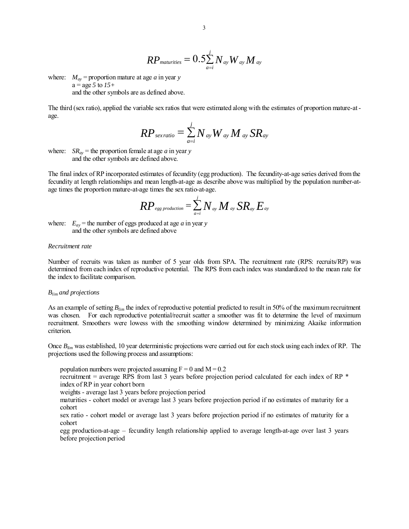$$
\mathit{RP}_\mathit{maturities} = 0.5 \overset{j}{\underset{a=i}{\sum}} N_{\mathit{ay}} \mathit{W}_{\mathit{ay}} \mathit{M}_{\mathit{ay}}
$$

where:  $M_{av}$  = proportion mature at age *a* in year *y*  $a = age 5$  to  $15+$ and the other symbols are as defined above.

The third (sex ratio), applied the variable sex ratios that were estimated along with the estimates of proportion mature-at age.

$$
RP_{\text{servatio}} = \sum_{a=i}^{j} N_{\text{ay}} W_{\text{ay}} M_{\text{ay}} SR_{\text{ay}}
$$

where:  $SR_{av}$  = the proportion female at age *a* in year *y* and the other symbols are defined above.

The final index of RP incorporated estimates of fecundity (egg production). The fecundity-at-age series derived from the fecundity at length relationships and mean length-at-age as describe above was multiplied by the population number-atage times the proportion mature-at-age times the sex ratio-at-age.

$$
RP_{\scriptscriptstyle \mathit{egg\,production}} = \sum_{\scriptscriptstyle \mathit{a=i}}^{\scriptscriptstyle j} N_{\scriptscriptstyle \mathit{ay}} M_{\scriptscriptstyle \mathit{ay}} S R_{\scriptscriptstyle \mathit{ay}} E_{\scriptscriptstyle \mathit{ay}}
$$

where:  $E_{av}$  = the number of eggs produced at age *a* in year *y* and the other symbols are defined above

### *Recruitment rate*

Number of recruits was taken as number of 5 year olds from SPA. The recruitment rate (RPS: recruits/RP) was determined from each index of reproductive potential. The RPS from each index was standardized to the mean rate for the index to facilitate comparison.

#### *Blim and projections*

As an example of setting *Blim* the index of reproductive potential predicted to result in 50% of the maximum recruitment was chosen. For each reproductive potential/recruit scatter a smoother was fit to determine the level of maximum recruitment. Smoothers were lowess with the smoothing window determined by minimizing Akaike information criterion.

Once *Blim* was established, 10 year deterministic projections were carried out for each stock using each index of RP. The projections used the following process and assumptions:

population numbers were projected assuming  $F = 0$  and  $M = 0.2$ recruitment = average RPS from last 3 years before projection period calculated for each index of RP \* index of RP in year cohort born weights - average last 3 years before projection period maturities - cohort model or average last 3 years before projection period if no estimates of maturity for a cohort sex ratio - cohort model or average last 3 years before projection period if no estimates of maturity for a cohort

egg production-at-age – fecundity length relationship applied to average length-at-age over last 3 years before projection period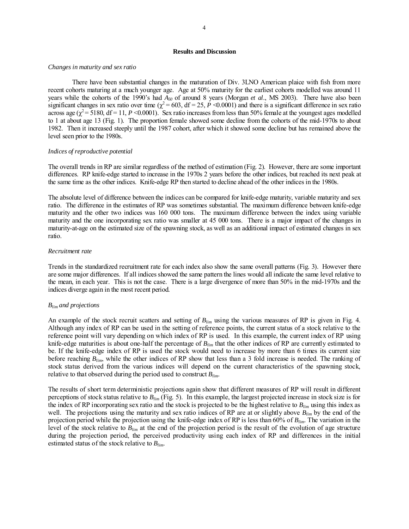## **Results and Discussion**

#### *Changes in maturity and sex ratio*

There have been substantial changes in the maturation of Div. 3LNO American plaice with fish from more recent cohorts maturing at a much younger age. Age at 50% maturity for the earliest cohorts modelled was around 11 years while the cohorts of the 1990's had  $A_{50}$  of around 8 years (Morgan *et al.*, MS 2003). There have also been significant changes in sex ratio over time ( $\chi^2$  = 603, df = 25, *P* <0.0001) and there is a significant difference in sex ratio across age ( $\chi^2$  = 5180, df = 11, *P* <0.0001). Sex ratio increases from less than 50% female at the youngest ages modelled to 1 at about age 13 (Fig. 1). The proportion female showed some decline from the cohorts of the mid-1970s to about 1982. Then it increased steeply until the 1987 cohort, after which it showed some decline but has remained above the level seen prior to the 1980s.

#### *Indices of reproductive potential*

The overall trends in RP are similar regardless of the method of estimation (Fig. 2). However, there are some important differences. RP knife-edge started to increase in the 1970s 2 years before the other indices, but reached its next peak at the same time as the other indices. Knife-edge RP then started to decline ahead of the other indices in the 1980s.

The absolute level of difference between the indices can be compared for knife-edge maturity, variable maturity and sex ratio. The difference in the estimates of RP was sometimes substantial. The maximum difference between knife-edge maturity and the other two indices was 160 000 tons. The maximum difference between the index using variable maturity and the one incorporating sex ratio was smaller at 45 000 tons. There is a major impact of the changes in maturity-at-age on the estimated size of the spawning stock, as well as an additional impact of estimated changes in sex ratio.

#### *Recruitment rate*

Trends in the standardized recruitment rate for each index also show the same overall patterns (Fig. 3). However there are some major differences. If all indices showed the same pattern the lines would all indicate the same level relative to the mean, in each year. This is not the case. There is a large divergence of more than 50% in the mid-1970s and the indices diverge again in the most recent period.

### *Blim and projections*

An example of the stock recruit scatters and setting of *Blim* using the various measures of RP is given in Fig. 4. Although any index of RP can be used in the setting of reference points, the current status of a stock relative to the reference point will vary depending on which index of RP is used. In this example, the current index of RP using knife-edge maturities is about one-half the percentage of *Blim* that the other indices of RP are currently estimated to be. If the knife-edge index of RP is used the stock would need to increase by more than 6 times its current size before reaching *Blim*, while the other indices of RP show that less than a 3 fold increase is needed. The ranking of stock status derived from the various indices will depend on the current characteristics of the spawning stock, relative to that observed during the period used to construct *Blim*.

The results of short term deterministic projections again show that different measures of RP will result in different perceptions of stock status relative to *Blim* (Fig. 5). In this example, the largest projected increase in stock size is for the index of RP incorporating sex ratio and the stock is projected to be the highest relative to  $B_{lim}$  using this index as well. The projections using the maturity and sex ratio indices of RP are at or slightly above *Blim* by the end of the projection period while the projection using the knife-edge index of RP is less than 60% of *Blim*. The variation in the level of the stock relative to *Blim* at the end of the projection period is the result of the evolution of age structure during the projection period, the perceived productivity using each index of RP and differences in the initial estimated status of the stock relative to *Blim*.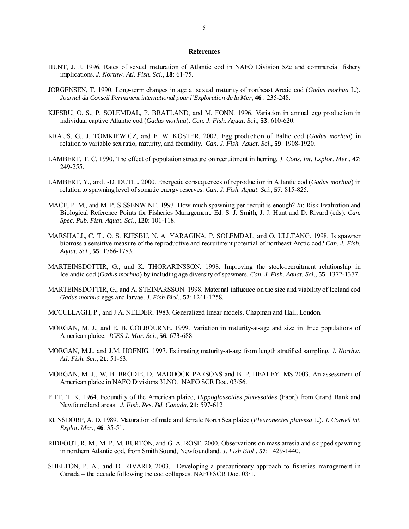#### **References**

- HUNT, J. J. 1996. Rates of sexual maturation of Atlantic cod in NAFO Division 5Ze and commercial fishery implications. *J. Northw. Atl. Fish. Sci*., **18**: 61-75.
- JORGENSEN, T. 1990. Long-term changes in age at sexual maturity of northeast Arctic cod (*Gadus morhua* L.). *Journal du Conseil Permanent international pour l'Exploration de la Mer*, **46** : 235-248.
- KJESBU, O. S., P. SOLEMDAL, P. BRATLAND, and M. FONN. 1996. Variation in annual egg production in individual captive Atlantic cod (*Gadus morhua*). *Can. J. Fish. Aquat. Sci*., **53**: 610-620.
- KRAUS, G., J. TOMKIEWICZ, and F. W. KOSTER. 2002. Egg production of Baltic cod (*Gadus morhua*) in relation to variable sex ratio, maturity, and fecundity. *Can. J. Fish. Aquat. Sci*., **59**: 1908-1920.
- LAMBERT, T. C. 1990. The effect of population structure on recruitment in herring. *J. Cons. int. Explor. Mer*., **47**: 249-255.
- LAMBERT, Y., and J-D. DUTIL. 2000. Energetic consequences of reproduction in Atlantic cod (*Gadus morhua*) in relation to spawning level of somatic energy reserves. *Can. J. Fish. Aquat. Sci*., **57**: 815-825.
- MACE, P. M., and M. P. SISSENWINE. 1993. How much spawning per recruit is enough? *In*: Risk Evaluation and Biological Reference Points for Fisheries Management. Ed. S. J. Smith, J. J. Hunt and D. Rivard (eds). *Can. Spec. Pub. Fish. Aquat. Sci*., **120**: 101-118.
- MARSHALL, C. T., O. S. KJESBU, N. A. YARAGINA, P. SOLEMDAL, and O. ULLTANG. 1998. Is spawner biomass a sensitive measure of the reproductive and recruitment potential of northeast Arctic cod? *Can. J. Fish. Aquat. Sci*., **55**: 1766-1783.
- MARTEINSDOTTIR, G., and K. THORARINSSON. 1998. Improving the stock-recruitment relationship in Icelandic cod (*Gadus morhua*) by including age diversity of spawners. *Can. J. Fish. Aquat. Sci*., **55**: 1372-1377.
- MARTEINSDOTTIR, G., and A. STEINARSSON. 1998. Maternal influence on the size and viability of Iceland cod *Gadus morhua* eggs and larvae. *J. Fish Biol*., **52**: 1241-1258.
- MCCULLAGH, P., and J.A. NELDER. 1983. Generalized linear models. Chapman and Hall, London.
- MORGAN, M. J., and E. B. COLBOURNE. 1999. Variation in maturity-at-age and size in three populations of American plaice. *ICES J. Mar. Sci*., **56**: 673-688.
- MORGAN, M.J., and J.M. HOENIG. 1997. Estimating maturity-at-age from length stratified sampling. *J. Northw. Atl. Fish. Sci*., **21**: 51-63.
- MORGAN, M. J., W. B. BRODIE, D. MADDOCK PARSONS and B. P. HEALEY. MS 2003. An assessment of American plaice in NAFO Divisions 3LNO. NAFO SCR Doc. 03/56.
- PITT, T. K. 1964. Fecundity of the American plaice, *Hippoglossoides platessoides* (Fabr.) from Grand Bank and Newfoundland areas. *J. Fish. Res. Bd. Canada*, **21**: 597-612
- RIJNSDORP, A. D. 1989. Maturation of male and female North Sea plaice (*Pleuronectes platessa* L.). *J. Conseil int. Explor. Mer.*, **46**: 35-51.
- RIDEOUT, R. M., M. P. M. BURTON, and G. A. ROSE. 2000. Observations on mass atresia and skipped spawning in northern Atlantic cod, from Smith Sound, Newfoundland. *J. Fish Biol*., **57**: 1429-1440.
- SHELTON, P. A., and D. RIVARD. 2003. Developing a precautionary approach to fisheries management in Canada – the decade following the cod collapses. NAFO SCR Doc. 03/1.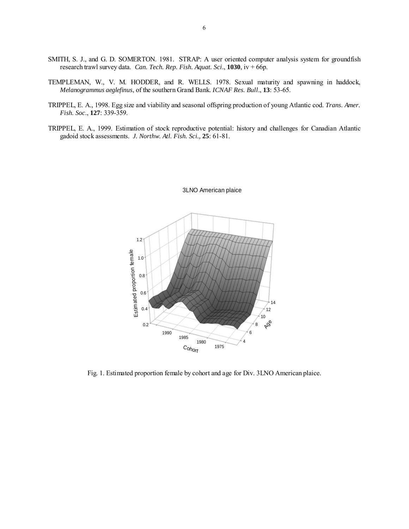- SMITH, S. J., and G. D. SOMERTON. 1981. STRAP: A user oriented computer analysis system for groundfish research trawl survey data. *Can. Tech. Rep. Fish. Aquat. Sci*., **1030**, iv + 66p.
- TEMPLEMAN, W., V. M. HODDER, and R. WELLS. 1978. Sexual maturity and spawning in haddock, *Melanogrammus aeglefinus*, of the southern Grand Bank. *ICNAF Res. Bull*., **13**: 53-65.
- TRIPPEL, E. A., 1998. Egg size and viability and seasonal offspring production of young Atlantic cod. *Trans. Amer. Fish. Soc*., **127**: 339-359.
- TRIPPEL, E. A., 1999. Estimation of stock reproductive potential: history and challenges for Canadian Atlantic gadoid stock assessments. *J. Northw. Atl. Fish. Sci.,* **25**: 61-81.



#### 3LNO American plaice

Fig. 1. Estimated proportion female by cohort and age for Div. 3LNO American plaice.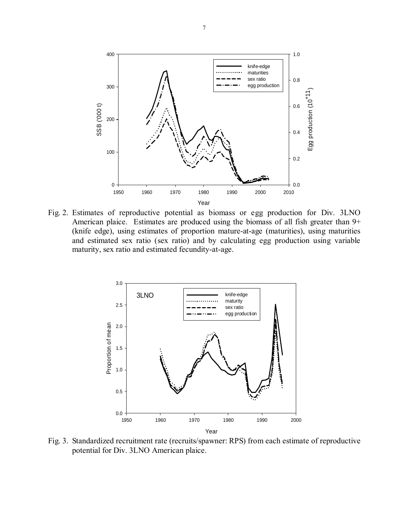

Fig. 2. Estimates of reproductive potential as biomass or egg production for Div. 3LNO American plaice. Estimates are produced using the biomass of all fish greater than 9+ (knife edge), using estimates of proportion mature-at-age (maturities), using maturities and estimated sex ratio (sex ratio) and by calculating egg production using variable maturity, sex ratio and estimated fecundity-at-age.



Fig. 3. Standardized recruitment rate (recruits/spawner: RPS) from each estimate of reproductive potential for Div. 3LNO American plaice.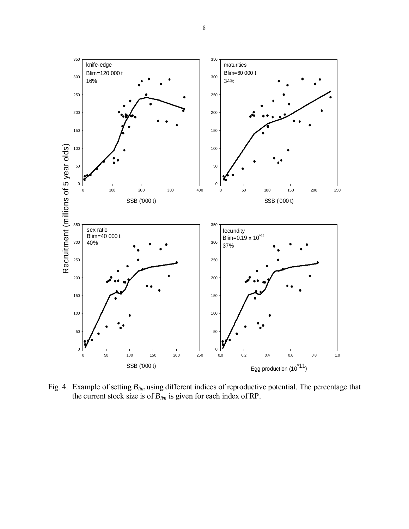

Fig. 4. Example of setting *Blim* using different indices of reproductive potential. The percentage that the current stock size is of  $B_{lim}$  is given for each index of RP.